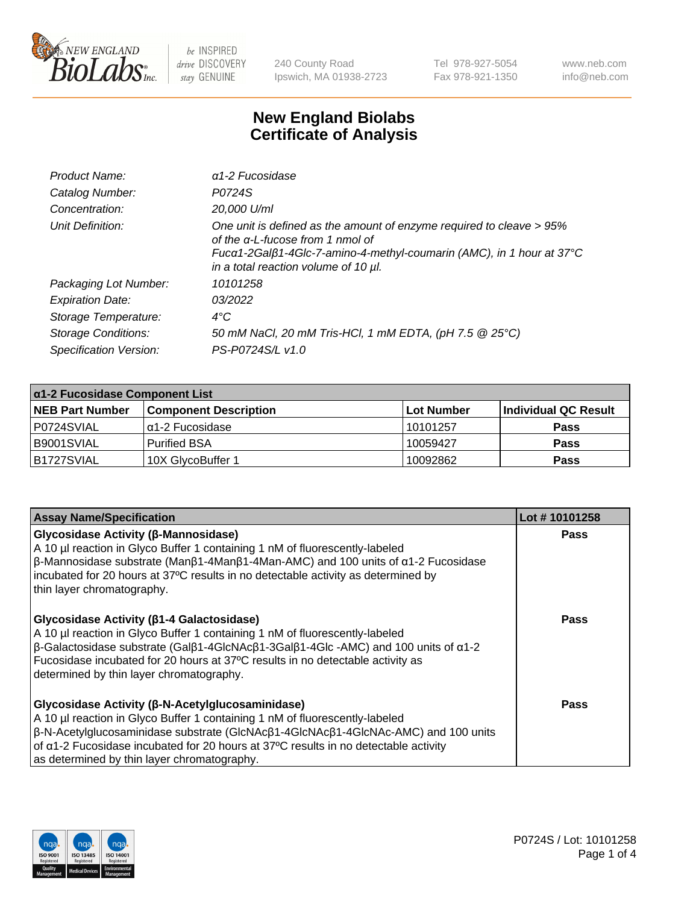

240 County Road Ipswich, MA 01938-2723 Tel 978-927-5054 Fax 978-921-1350 www.neb.com info@neb.com

## **New England Biolabs Certificate of Analysis**

| Product Name:              | $\alpha$ 1-2 Fucosidase                                                                                                                                                                                                               |
|----------------------------|---------------------------------------------------------------------------------------------------------------------------------------------------------------------------------------------------------------------------------------|
| Catalog Number:            | P0724S                                                                                                                                                                                                                                |
| Concentration:             | 20,000 U/ml                                                                                                                                                                                                                           |
| Unit Definition:           | One unit is defined as the amount of enzyme required to cleave > 95%<br>of the $\alpha$ -L-fucose from 1 nmol of<br>Fucα1-2Galβ1-4Glc-7-amino-4-methyl-coumarin (AMC), in 1 hour at 37°C<br>in a total reaction volume of 10 $\mu$ l. |
| Packaging Lot Number:      | 10101258                                                                                                                                                                                                                              |
| <b>Expiration Date:</b>    | 03/2022                                                                                                                                                                                                                               |
| Storage Temperature:       | $4^{\circ}$ C                                                                                                                                                                                                                         |
| <b>Storage Conditions:</b> | 50 mM NaCl, 20 mM Tris-HCl, 1 mM EDTA, (pH 7.5 @ 25°C)                                                                                                                                                                                |
| Specification Version:     | PS-P0724S/L v1.0                                                                                                                                                                                                                      |

| $\alpha$ 1-2 Fucosidase Component List |                              |            |                      |  |
|----------------------------------------|------------------------------|------------|----------------------|--|
| <b>NEB Part Number</b>                 | <b>Component Description</b> | Lot Number | Individual QC Result |  |
| P0724SVIAL                             | $\alpha$ 1-2 Fucosidase      | 10101257   | <b>Pass</b>          |  |
| B9001SVIAL                             | <b>Purified BSA</b>          | 10059427   | <b>Pass</b>          |  |
| IB1727SVIAL                            | 10X GlycoBuffer 1            | 10092862   | <b>Pass</b>          |  |

| <b>Assay Name/Specification</b>                                                                                                                                                                                                                                                                                                                                                     | Lot #10101258 |
|-------------------------------------------------------------------------------------------------------------------------------------------------------------------------------------------------------------------------------------------------------------------------------------------------------------------------------------------------------------------------------------|---------------|
| <b>Glycosidase Activity (β-Mannosidase)</b><br>A 10 µl reaction in Glyco Buffer 1 containing 1 nM of fluorescently-labeled<br>$\beta$ -Mannosidase substrate (Man $\beta$ 1-4Man $\beta$ 1-4Man-AMC) and 100 units of $\alpha$ 1-2 Fucosidase<br>incubated for 20 hours at 37°C results in no detectable activity as determined by<br>thin layer chromatography.                    | <b>Pass</b>   |
| Glycosidase Activity (β1-4 Galactosidase)<br>A 10 µl reaction in Glyco Buffer 1 containing 1 nM of fluorescently-labeled<br>$\beta$ -Galactosidase substrate (Gal $\beta$ 1-4GlcNAc $\beta$ 1-3Gal $\beta$ 1-4Glc -AMC) and 100 units of $\alpha$ 1-2<br>Fucosidase incubated for 20 hours at 37°C results in no detectable activity as<br>determined by thin layer chromatography. | Pass          |
| <b>Glycosidase Activity (β-N-Acetylglucosaminidase)</b><br>A 10 µl reaction in Glyco Buffer 1 containing 1 nM of fluorescently-labeled<br>β-N-Acetylglucosaminidase substrate (GlcNAcβ1-4GlcNAcβ1-4GlcNAc-AMC) and 100 units<br>of α1-2 Fucosidase incubated for 20 hours at 37°C results in no detectable activity<br>as determined by thin layer chromatography.                  | Pass          |

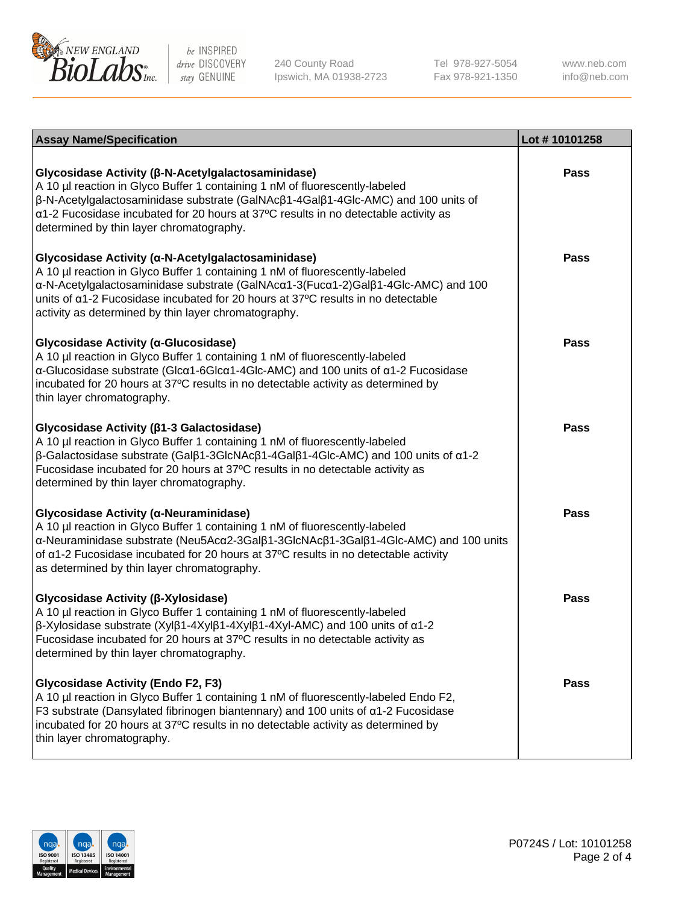

240 County Road Ipswich, MA 01938-2723 Tel 978-927-5054 Fax 978-921-1350

www.neb.com info@neb.com

| <b>Assay Name/Specification</b>                                                                                                                                                                                                                                                                                                                                                    | Lot #10101258 |
|------------------------------------------------------------------------------------------------------------------------------------------------------------------------------------------------------------------------------------------------------------------------------------------------------------------------------------------------------------------------------------|---------------|
| Glycosidase Activity (β-N-Acetylgalactosaminidase)<br>A 10 µl reaction in Glyco Buffer 1 containing 1 nM of fluorescently-labeled<br>β-N-Acetylgalactosaminidase substrate (GalNAcβ1-4Galβ1-4Glc-AMC) and 100 units of<br>a1-2 Fucosidase incubated for 20 hours at 37°C results in no detectable activity as<br>determined by thin layer chromatography.                          | <b>Pass</b>   |
| Glycosidase Activity (α-N-Acetylgalactosaminidase)<br>A 10 µl reaction in Glyco Buffer 1 containing 1 nM of fluorescently-labeled<br>α-N-Acetylgalactosaminidase substrate (GalNAcα1-3(Fucα1-2)Galβ1-4Glc-AMC) and 100<br>units of a1-2 Fucosidase incubated for 20 hours at 37°C results in no detectable<br>activity as determined by thin layer chromatography.                 | <b>Pass</b>   |
| Glycosidase Activity (a-Glucosidase)<br>A 10 µl reaction in Glyco Buffer 1 containing 1 nM of fluorescently-labeled<br>α-Glucosidase substrate (Glcα1-6Glcα1-4Glc-AMC) and 100 units of α1-2 Fucosidase<br>incubated for 20 hours at 37°C results in no detectable activity as determined by<br>thin layer chromatography.                                                         | Pass          |
| Glycosidase Activity (β1-3 Galactosidase)<br>A 10 µl reaction in Glyco Buffer 1 containing 1 nM of fluorescently-labeled<br>$\beta$ -Galactosidase substrate (Gal $\beta$ 1-3GlcNAc $\beta$ 1-4Gal $\beta$ 1-4Glc-AMC) and 100 units of $\alpha$ 1-2<br>Fucosidase incubated for 20 hours at 37°C results in no detectable activity as<br>determined by thin layer chromatography. | <b>Pass</b>   |
| Glycosidase Activity (α-Neuraminidase)<br>A 10 µl reaction in Glyco Buffer 1 containing 1 nM of fluorescently-labeled<br>α-Neuraminidase substrate (Neu5Acα2-3Galβ1-3GlcNAcβ1-3Galβ1-4Glc-AMC) and 100 units<br>of $\alpha$ 1-2 Fucosidase incubated for 20 hours at 37°C results in no detectable activity<br>as determined by thin layer chromatography.                         | <b>Pass</b>   |
| Glycosidase Activity (β-Xylosidase)<br>A 10 µl reaction in Glyco Buffer 1 containing 1 nM of fluorescently-labeled<br>β-Xylosidase substrate (Xylβ1-4Xylβ1-4Xylβ1-4Xyl-AMC) and 100 units of α1-2<br>Fucosidase incubated for 20 hours at 37°C results in no detectable activity as<br>determined by thin layer chromatography.                                                    | <b>Pass</b>   |
| <b>Glycosidase Activity (Endo F2, F3)</b><br>A 10 µl reaction in Glyco Buffer 1 containing 1 nM of fluorescently-labeled Endo F2,<br>F3 substrate (Dansylated fibrinogen biantennary) and 100 units of $\alpha$ 1-2 Fucosidase<br>incubated for 20 hours at 37°C results in no detectable activity as determined by<br>thin layer chromatography.                                  | <b>Pass</b>   |

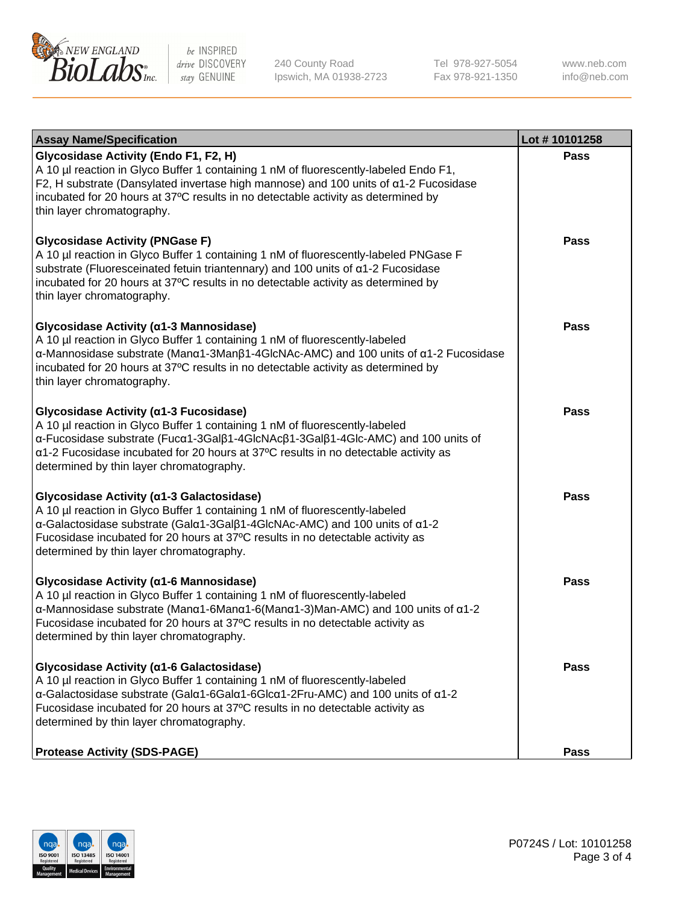

240 County Road Ipswich, MA 01938-2723 Tel 978-927-5054 Fax 978-921-1350 www.neb.com info@neb.com

| <b>Assay Name/Specification</b>                                                                                                                                                                                                                                                                                                              | Lot #10101258 |
|----------------------------------------------------------------------------------------------------------------------------------------------------------------------------------------------------------------------------------------------------------------------------------------------------------------------------------------------|---------------|
| Glycosidase Activity (Endo F1, F2, H)<br>A 10 µl reaction in Glyco Buffer 1 containing 1 nM of fluorescently-labeled Endo F1,<br>F2, H substrate (Dansylated invertase high mannose) and 100 units of a1-2 Fucosidase<br>incubated for 20 hours at 37°C results in no detectable activity as determined by<br>thin layer chromatography.     | <b>Pass</b>   |
| <b>Glycosidase Activity (PNGase F)</b><br>A 10 µl reaction in Glyco Buffer 1 containing 1 nM of fluorescently-labeled PNGase F<br>substrate (Fluoresceinated fetuin triantennary) and 100 units of a1-2 Fucosidase<br>incubated for 20 hours at 37°C results in no detectable activity as determined by<br>thin layer chromatography.        | Pass          |
| Glycosidase Activity (α1-3 Mannosidase)<br>A 10 µl reaction in Glyco Buffer 1 containing 1 nM of fluorescently-labeled<br>α-Mannosidase substrate (Μanα1-3Μanβ1-4GlcNAc-AMC) and 100 units of α1-2 Fucosidase<br>incubated for 20 hours at 37°C results in no detectable activity as determined by<br>thin layer chromatography.             | <b>Pass</b>   |
| Glycosidase Activity (α1-3 Fucosidase)<br>A 10 µl reaction in Glyco Buffer 1 containing 1 nM of fluorescently-labeled<br>α-Fucosidase substrate (Fucα1-3Galβ1-4GlcNAcβ1-3Galβ1-4Glc-AMC) and 100 units of<br>a1-2 Fucosidase incubated for 20 hours at 37°C results in no detectable activity as<br>determined by thin layer chromatography. | <b>Pass</b>   |
| Glycosidase Activity (a1-3 Galactosidase)<br>A 10 µl reaction in Glyco Buffer 1 containing 1 nM of fluorescently-labeled<br>α-Galactosidase substrate (Galα1-3Galβ1-4GlcNAc-AMC) and 100 units of α1-2<br>Fucosidase incubated for 20 hours at 37°C results in no detectable activity as<br>determined by thin layer chromatography.         | <b>Pass</b>   |
| Glycosidase Activity (α1-6 Mannosidase)<br>A 10 µl reaction in Glyco Buffer 1 containing 1 nM of fluorescently-labeled<br>α-Mannosidase substrate (Μanα1-6Μanα1-6(Μanα1-3)Man-AMC) and 100 units of α1-2<br>Fucosidase incubated for 20 hours at 37°C results in no detectable activity as<br>determined by thin layer chromatography.       | <b>Pass</b>   |
| Glycosidase Activity (α1-6 Galactosidase)<br>A 10 µl reaction in Glyco Buffer 1 containing 1 nM of fluorescently-labeled<br>α-Galactosidase substrate (Galα1-6Galα1-6Glcα1-2Fru-AMC) and 100 units of α1-2<br>Fucosidase incubated for 20 hours at 37°C results in no detectable activity as<br>determined by thin layer chromatography.     | Pass          |
| <b>Protease Activity (SDS-PAGE)</b>                                                                                                                                                                                                                                                                                                          | <b>Pass</b>   |